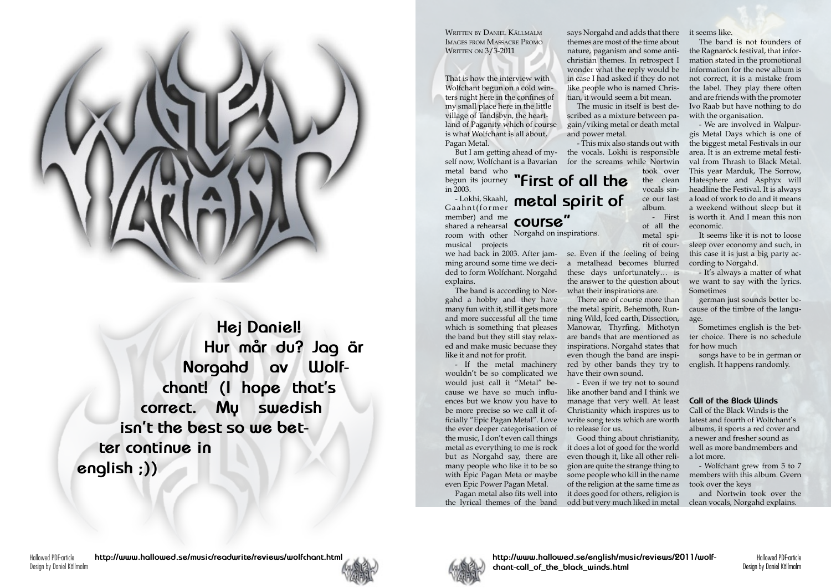Hallowed PDF-article Design by Daniel Källmalm Written by Daniel Källmalm Images from Massacre Promo **WRITTEN ON 3/3-2011** 



**Hej Daniel! Hur mår du? Jag är Norgahd av Wolfchant! (I hope that's correct. My swedish isn't the best so we better continue in english ;))**

That is how the interview with Wolfchant begun on a cold winters night here in the confines of my small place here in the little village of Tandsbyn, the heartland of Paganity which of course is what Wolfchant is all about, Pagan Metal.

self now, Wolfchant is a Bavarian for the screams while Nortwin metal band who

begun its journey in 2003.

- Lokhi, Skaahl, member) and me shared a rehearsal musical projects

we had back in 2003. After jam-se. Even if the feeling of being ming around some time we deci-a metalhead becomes blurred ded to form Wolfchant. Norgahd explains.

**Gaahnt(former** metal spirit of **"First of all the course"**

The band is according to Norgahd a hobby and they have many fun with it, still it gets more and more successful all the time which is something that pleases the band but they still stay relaxed and make music becuase they like it and not for profit.

room with other Norgahd on inspirations.

But I am getting ahead of my-the vocals. Lokhi is responsible The music in itself is best described as a mixture between pagain/viking metal or death metal and power metal. - This mix also stands out with

- If the metal machinery wouldn't be so complicated we would just call it "Metal" beences but we know you have to be more precise so we call it officially "Epic Pagan Metal". Love the ever deeper categorisation of the music, I don't even call things but as Norgahd say, there are many people who like it to be so with Epic Pagan Meta or maybe even Epic Power Pagan Metal.

Pagan metal also fits well into the lyrical themes of the band

says Norgahd and adds that there it seems like. themes are most of the time about nature, paganism and some antichristian themes. In retrospect I wonder what the reply would be in case I had asked if they do not like people who is named Christian, it would seem a bit mean.

cause we have so much influ-like another band and I think we - Even if we try not to sound manage that very well. At least Christianity which inspires us to write song texts which are worth to release for us.

took over the clean vocals since our last album.

- First of all the metal spirit of cour-

metal as everything to me is rock it does a lot of good for the world Good thing about christianity, even though it, like all other religion are quite the strange thing to some people who kill in the name of the religion at the same time as it does good for others, religion is odd but very much liked in metal

these days unfortunately… is the answer to the question about what their inspirations are.

There are of course more than the metal spirit, Behemoth, Running Wild, Iced earth, Dissection, Manowar, Thyrfing, Mithotyn are bands that are mentioned as inspirations. Norgahd states that even though the band are inspired by other bands they try to have their own sound.

The band is not founders of the Ragnaröck festival, that information stated in the promotional information for the new album is not correct, it is a mistake from the label. They play there often and are friends with the promoter Ivo Raab but have nothing to do with the organisation.

- We are involved in Walpurgis Metal Days which is one of the biggest metal Festivals in our area. It is an extreme metal festival from Thrash to Black Metal. This year Marduk, The Sorrow, Hatesphere and Asphyx will headline the Festival. It is always a load of work to do and it means a weekend without sleep but it is worth it. And I mean this non economic.

It seems like it is not to loose sleep over economy and such, in this case it is just a big party according to Norgahd.

- It's always a matter of what we want to say with the lyrics. Sometimes

german just sounds better because of the timbre of the language.

Sometimes english is the better choice. There is no schedule for how much

songs have to be in german or english. It happens randomly.

## **Call of the Black Winds**

Call of the Black Winds is the latest and fourth of Wolfchant's albums, it sports a red cover and a newer and fresher sound as well as more bandmembers and a lot more.

- Wolfchant grew from 5 to 7 members with this album. Gvern took over the keys

and Nortwin took over the clean vocals, Norgahd explains.

**http://www.hallowed.se/english/music/reviews/2011/wolfchant-call\_of\_the\_black\_winds.html**